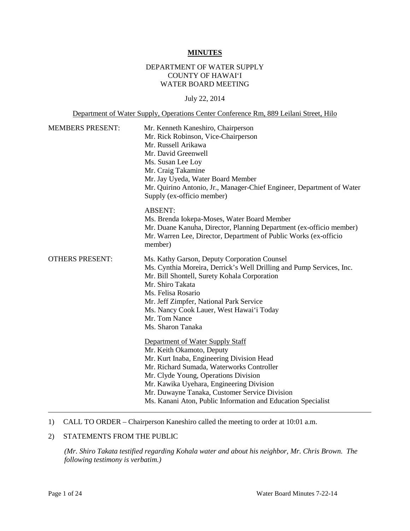#### **MINUTES**

# DEPARTMENT OF WATER SUPPLY COUNTY OF HAWAI'I WATER BOARD MEETING

#### July 22, 2014

#### Department of Water Supply, Operations Center Conference Rm, 889 Leilani Street, Hilo

| <b>MEMBERS PRESENT:</b> | Mr. Kenneth Kaneshiro, Chairperson<br>Mr. Rick Robinson, Vice-Chairperson<br>Mr. Russell Arikawa<br>Mr. David Greenwell<br>Ms. Susan Lee Loy<br>Mr. Craig Takamine<br>Mr. Jay Uyeda, Water Board Member<br>Mr. Quirino Antonio, Jr., Manager-Chief Engineer, Department of Water<br>Supply (ex-officio member)                                               |
|-------------------------|--------------------------------------------------------------------------------------------------------------------------------------------------------------------------------------------------------------------------------------------------------------------------------------------------------------------------------------------------------------|
|                         | <b>ABSENT:</b><br>Ms. Brenda Iokepa-Moses, Water Board Member<br>Mr. Duane Kanuha, Director, Planning Department (ex-officio member)<br>Mr. Warren Lee, Director, Department of Public Works (ex-officio<br>member)                                                                                                                                          |
| <b>OTHERS PRESENT:</b>  | Ms. Kathy Garson, Deputy Corporation Counsel<br>Ms. Cynthia Moreira, Derrick's Well Drilling and Pump Services, Inc.<br>Mr. Bill Shontell, Surety Kohala Corporation<br>Mr. Shiro Takata<br>Ms. Felisa Rosario<br>Mr. Jeff Zimpfer, National Park Service<br>Ms. Nancy Cook Lauer, West Hawai'i Today<br>Mr. Tom Nance<br>Ms. Sharon Tanaka                  |
|                         | Department of Water Supply Staff<br>Mr. Keith Okamoto, Deputy<br>Mr. Kurt Inaba, Engineering Division Head<br>Mr. Richard Sumada, Waterworks Controller<br>Mr. Clyde Young, Operations Division<br>Mr. Kawika Uyehara, Engineering Division<br>Mr. Duwayne Tanaka, Customer Service Division<br>Ms. Kanani Aton, Public Information and Education Specialist |

#### 1) CALL TO ORDER – Chairperson Kaneshiro called the meeting to order at 10:01 a.m.

# 2) STATEMENTS FROM THE PUBLIC

*(Mr. Shiro Takata testified regarding Kohala water and about his neighbor, Mr. Chris Brown. The following testimony is verbatim.)*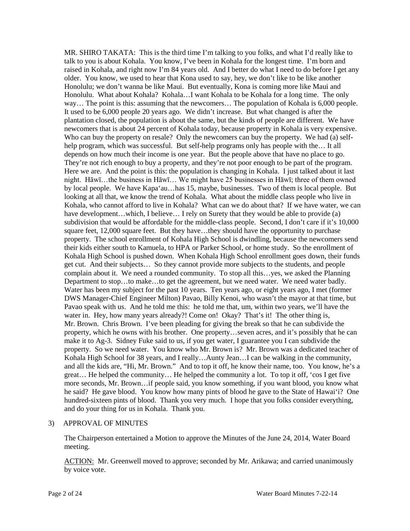MR. SHIRO TAKATA: This is the third time I'm talking to you folks, and what I'd really like to talk to you is about Kohala. You know, I've been in Kohala for the longest time. I'm born and raised in Kohala, and right now I'm 84 years old. And I better do what I need to do before I get any older. You know, we used to hear that Kona used to say, hey, we don't like to be like another Honolulu; we don't wanna be like Maui. But eventually, Kona is coming more like Maui and Honolulu. What about Kohala? Kohala…I want Kohala to be Kohala for a long time. The only way... The point is this: assuming that the newcomers... The population of Kohala is 6,000 people. It used to be 6,000 people 20 years ago. We didn't increase. But what changed is after the plantation closed, the population is about the same, but the kinds of people are different. We have newcomers that is about 24 percent of Kohala today, because property in Kohala is very expensive. Who can buy the property on resale? Only the newcomers can buy the property. We had (a) selfhelp program, which was successful. But self-help programs only has people with the… It all depends on how much their income is one year. But the people above that have no place to go. They're not rich enough to buy a property, and they're not poor enough to be part of the program. Here we are. And the point is this: the population is changing in Kohala. I just talked about it last night. Hāwī…the business in Hāwī… We might have 25 businesses in Hāwī; three of them owned by local people. We have Kapa'au…has 15, maybe, businesses. Two of them is local people. But looking at all that, we know the trend of Kohala. What about the middle class people who live in Kohala, who cannot afford to live in Kohala? What can we do about that? If we have water, we can have development...which, I believe... I rely on Surety that they would be able to provide (a) subdivision that would be affordable for the middle-class people. Second, I don't care if it's 10,000 square feet, 12,000 square feet. But they have...they should have the opportunity to purchase property. The school enrollment of Kohala High School is dwindling, because the newcomers send their kids either south to Kamuela, to HPA or Parker School, or home study. So the enrollment of Kohala High School is pushed down. When Kohala High School enrollment goes down, their funds get cut. And their subjects… So they cannot provide more subjects to the students, and people complain about it. We need a rounded community. To stop all this…yes, we asked the Planning Department to stop…to make…to get the agreement, but we need water. We need water badly. Water has been my subject for the past 10 years. Ten years ago, or eight years ago, I met (former DWS Manager-Chief Engineer Milton) Pavao, Billy Kenoi, who wasn't the mayor at that time, but Pavao speak with us. And he told me this: he told me that, um, within two years, we'll have the water in. Hey, how many years already?! Come on! Okay? That's it! The other thing is, Mr. Brown. Chris Brown. I've been pleading for giving the break so that he can subdivide the property, which he owns with his brother. One property…seven acres, and it's possibly that he can make it to Ag-3. Sidney Fuke said to us, if you get water, I guarantee you I can subdivide the property. So we need water. You know who Mr. Brown is? Mr. Brown was a dedicated teacher of Kohala High School for 38 years, and I really…Aunty Jean…I can be walking in the community, and all the kids are, "Hi, Mr. Brown." And to top it off, he know their name, too. You know, he's a great… He helped the community… He helped the community a lot. To top it off, 'cos I get five more seconds, Mr. Brown…if people said, you know something, if you want blood, you know what he said? He gave blood. You know how many pints of blood he gave to the State of Hawai'i? One hundred-sixteen pints of blood. Thank you very much. I hope that you folks consider everything, and do your thing for us in Kohala. Thank you.

#### 3) APPROVAL OF MINUTES

The Chairperson entertained a Motion to approve the Minutes of the June 24, 2014, Water Board meeting.

ACTION: Mr. Greenwell moved to approve; seconded by Mr. Arikawa; and carried unanimously by voice vote.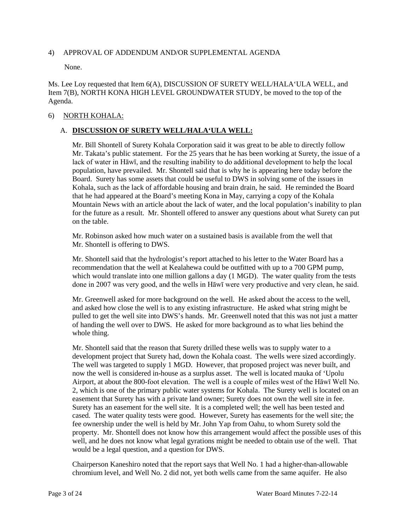### 4) APPROVAL OF ADDENDUM AND/OR SUPPLEMENTAL AGENDA

None.

Ms. Lee Loy requested that Item 6(A), DISCUSSION OF SURETY WELL/HALA'ULA WELL, and Item 7(B), NORTH KONA HIGH LEVEL GROUNDWATER STUDY, be moved to the top of the Agenda.

### 6) NORTH KOHALA:

## A. **DISCUSSION OF SURETY WELL/HALA'ULA WELL:**

Mr. Bill Shontell of Surety Kohala Corporation said it was great to be able to directly follow Mr. Takata's public statement. For the 25 years that he has been working at Surety, the issue of a lack of water in Hāwī, and the resulting inability to do additional development to help the local population, have prevailed. Mr. Shontell said that is why he is appearing here today before the Board. Surety has some assets that could be useful to DWS in solving some of the issues in Kohala, such as the lack of affordable housing and brain drain, he said. He reminded the Board that he had appeared at the Board's meeting Kona in May, carrying a copy of the Kohala Mountain News with an article about the lack of water, and the local population's inability to plan for the future as a result. Mr. Shontell offered to answer any questions about what Surety can put on the table.

Mr. Robinson asked how much water on a sustained basis is available from the well that Mr. Shontell is offering to DWS.

Mr. Shontell said that the hydrologist's report attached to his letter to the Water Board has a recommendation that the well at Kealahewa could be outfitted with up to a 700 GPM pump, which would translate into one million gallons a day (1 MGD). The water quality from the tests done in 2007 was very good, and the wells in Hāwī were very productive and very clean, he said.

Mr. Greenwell asked for more background on the well. He asked about the access to the well, and asked how close the well is to any existing infrastructure. He asked what string might be pulled to get the well site into DWS's hands. Mr. Greenwell noted that this was not just a matter of handing the well over to DWS. He asked for more background as to what lies behind the whole thing.

Mr. Shontell said that the reason that Surety drilled these wells was to supply water to a development project that Surety had, down the Kohala coast. The wells were sized accordingly. The well was targeted to supply 1 MGD. However, that proposed project was never built, and now the well is considered in-house as a surplus asset. The well is located mauka of 'Upolu Airport, at about the 800-foot elevation. The well is a couple of miles west of the Hāwī Well No. 2, which is one of the primary public water systems for Kohala. The Surety well is located on an easement that Surety has with a private land owner; Surety does not own the well site in fee. Surety has an easement for the well site. It is a completed well; the well has been tested and cased. The water quality tests were good. However, Surety has easements for the well site; the fee ownership under the well is held by Mr. John Yap from Oahu, to whom Surety sold the property. Mr. Shontell does not know how this arrangement would affect the possible uses of this well, and he does not know what legal gyrations might be needed to obtain use of the well. That would be a legal question, and a question for DWS.

Chairperson Kaneshiro noted that the report says that Well No. 1 had a higher-than-allowable chromium level, and Well No. 2 did not, yet both wells came from the same aquifer. He also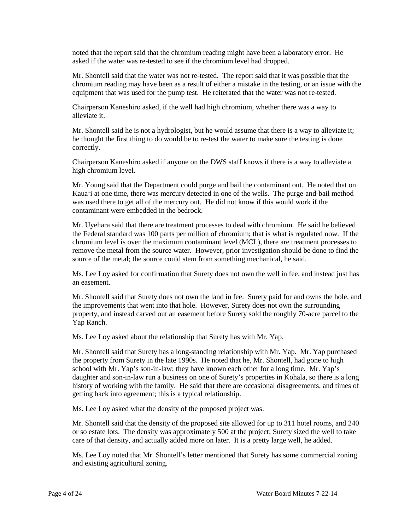noted that the report said that the chromium reading might have been a laboratory error. He asked if the water was re-tested to see if the chromium level had dropped.

Mr. Shontell said that the water was not re-tested. The report said that it was possible that the chromium reading may have been as a result of either a mistake in the testing, or an issue with the equipment that was used for the pump test. He reiterated that the water was not re-tested.

Chairperson Kaneshiro asked, if the well had high chromium, whether there was a way to alleviate it.

Mr. Shontell said he is not a hydrologist, but he would assume that there is a way to alleviate it; he thought the first thing to do would be to re-test the water to make sure the testing is done correctly.

Chairperson Kaneshiro asked if anyone on the DWS staff knows if there is a way to alleviate a high chromium level.

Mr. Young said that the Department could purge and bail the contaminant out. He noted that on Kaua'i at one time, there was mercury detected in one of the wells. The purge-and-bail method was used there to get all of the mercury out. He did not know if this would work if the contaminant were embedded in the bedrock.

Mr. Uyehara said that there are treatment processes to deal with chromium. He said he believed the Federal standard was 100 parts per million of chromium; that is what is regulated now. If the chromium level is over the maximum contaminant level (MCL), there are treatment processes to remove the metal from the source water. However, prior investigation should be done to find the source of the metal; the source could stem from something mechanical, he said.

Ms. Lee Loy asked for confirmation that Surety does not own the well in fee, and instead just has an easement.

Mr. Shontell said that Surety does not own the land in fee. Surety paid for and owns the hole, and the improvements that went into that hole. However, Surety does not own the surrounding property, and instead carved out an easement before Surety sold the roughly 70-acre parcel to the Yap Ranch.

Ms. Lee Loy asked about the relationship that Surety has with Mr. Yap.

Mr. Shontell said that Surety has a long-standing relationship with Mr. Yap. Mr. Yap purchased the property from Surety in the late 1990s. He noted that he, Mr. Shontell, had gone to high school with Mr. Yap's son-in-law; they have known each other for a long time. Mr. Yap's daughter and son-in-law run a business on one of Surety's properties in Kohala, so there is a long history of working with the family. He said that there are occasional disagreements, and times of getting back into agreement; this is a typical relationship.

Ms. Lee Loy asked what the density of the proposed project was.

Mr. Shontell said that the density of the proposed site allowed for up to 311 hotel rooms, and 240 or so estate lots. The density was approximately 500 at the project; Surety sized the well to take care of that density, and actually added more on later. It is a pretty large well, he added.

Ms. Lee Loy noted that Mr. Shontell's letter mentioned that Surety has some commercial zoning and existing agricultural zoning.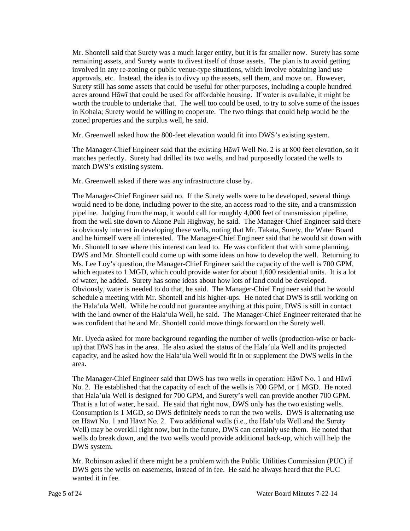Mr. Shontell said that Surety was a much larger entity, but it is far smaller now. Surety has some remaining assets, and Surety wants to divest itself of those assets. The plan is to avoid getting involved in any re-zoning or public venue-type situations, which involve obtaining land use approvals, etc. Instead, the idea is to divvy up the assets, sell them, and move on. However, Surety still has some assets that could be useful for other purposes, including a couple hundred acres around Hāwī that could be used for affordable housing. If water is available, it might be worth the trouble to undertake that. The well too could be used, to try to solve some of the issues in Kohala; Surety would be willing to cooperate. The two things that could help would be the zoned properties and the surplus well, he said.

Mr. Greenwell asked how the 800-feet elevation would fit into DWS's existing system.

The Manager-Chief Engineer said that the existing Hāwī Well No. 2 is at 800 feet elevation, so it matches perfectly. Surety had drilled its two wells, and had purposedly located the wells to match DWS's existing system.

Mr. Greenwell asked if there was any infrastructure close by.

The Manager-Chief Engineer said no. If the Surety wells were to be developed, several things would need to be done, including power to the site, an access road to the site, and a transmission pipeline. Judging from the map, it would call for roughly 4,000 feet of transmission pipeline, from the well site down to Akone Puli Highway, he said. The Manager-Chief Engineer said there is obviously interest in developing these wells, noting that Mr. Takata, Surety, the Water Board and he himself were all interested. The Manager-Chief Engineer said that he would sit down with Mr. Shontell to see where this interest can lead to. He was confident that with some planning, DWS and Mr. Shontell could come up with some ideas on how to develop the well. Returning to Ms. Lee Loy's question, the Manager-Chief Engineer said the capacity of the well is 700 GPM, which equates to 1 MGD, which could provide water for about 1,600 residential units. It is a lot of water, he added. Surety has some ideas about how lots of land could be developed. Obviously, water is needed to do that, he said. The Manager-Chief Engineer said that he would schedule a meeting with Mr. Shontell and his higher-ups. He noted that DWS is still working on the Hala'ula Well. While he could not guarantee anything at this point, DWS is still in contact with the land owner of the Hala'ula Well, he said. The Manager-Chief Engineer reiterated that he was confident that he and Mr. Shontell could move things forward on the Surety well.

Mr. Uyeda asked for more background regarding the number of wells (production-wise or backup) that DWS has in the area. He also asked the status of the Hala'ula Well and its projected capacity, and he asked how the Hala'ula Well would fit in or supplement the DWS wells in the area.

The Manager-Chief Engineer said that DWS has two wells in operation: Hāwī No. 1 and Hāwī No. 2. He established that the capacity of each of the wells is 700 GPM, or 1 MGD. He noted that Hala'ula Well is designed for 700 GPM, and Surety's well can provide another 700 GPM. That is a lot of water, he said. He said that right now, DWS only has the two existing wells. Consumption is 1 MGD, so DWS definitely needs to run the two wells. DWS is alternating use on Hāwī No. 1 and Hāwī No. 2. Two additional wells (i.e., the Hala'ula Well and the Surety Well) may be overkill right now, but in the future, DWS can certainly use them. He noted that wells do break down, and the two wells would provide additional back-up, which will help the DWS system.

Mr. Robinson asked if there might be a problem with the Public Utilities Commission (PUC) if DWS gets the wells on easements, instead of in fee. He said he always heard that the PUC wanted it in fee.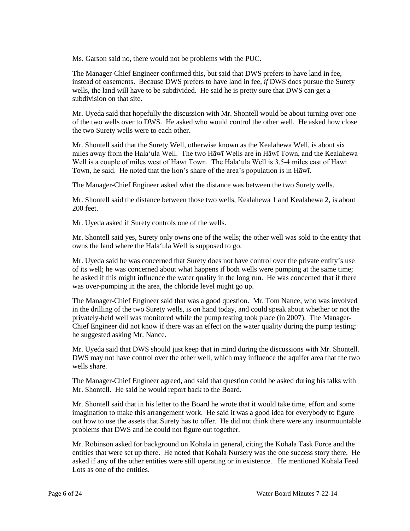Ms. Garson said no, there would not be problems with the PUC.

The Manager-Chief Engineer confirmed this, but said that DWS prefers to have land in fee, instead of easements. Because DWS prefers to have land in fee, *if* DWS does pursue the Surety wells, the land will have to be subdivided. He said he is pretty sure that DWS can get a subdivision on that site.

Mr. Uyeda said that hopefully the discussion with Mr. Shontell would be about turning over one of the two wells over to DWS. He asked who would control the other well. He asked how close the two Surety wells were to each other.

Mr. Shontell said that the Surety Well, otherwise known as the Kealahewa Well, is about six miles away from the Hala'ula Well. The two Hāwī Wells are in Hāwī Town, and the Kealahewa Well is a couple of miles west of Hāwī Town. The Hala'ula Well is 3.5-4 miles east of Hāwī Town, he said. He noted that the lion's share of the area's population is in Hāwī.

The Manager-Chief Engineer asked what the distance was between the two Surety wells.

Mr. Shontell said the distance between those two wells, Kealahewa 1 and Kealahewa 2, is about 200 feet.

Mr. Uyeda asked if Surety controls one of the wells.

Mr. Shontell said yes, Surety only owns one of the wells; the other well was sold to the entity that owns the land where the Hala'ula Well is supposed to go.

Mr. Uyeda said he was concerned that Surety does not have control over the private entity's use of its well; he was concerned about what happens if both wells were pumping at the same time; he asked if this might influence the water quality in the long run. He was concerned that if there was over-pumping in the area, the chloride level might go up.

The Manager-Chief Engineer said that was a good question. Mr. Tom Nance, who was involved in the drilling of the two Surety wells, is on hand today, and could speak about whether or not the privately-held well was monitored while the pump testing took place (in 2007). The Manager-Chief Engineer did not know if there was an effect on the water quality during the pump testing; he suggested asking Mr. Nance.

Mr. Uyeda said that DWS should just keep that in mind during the discussions with Mr. Shontell. DWS may not have control over the other well, which may influence the aquifer area that the two wells share.

The Manager-Chief Engineer agreed, and said that question could be asked during his talks with Mr. Shontell. He said he would report back to the Board.

Mr. Shontell said that in his letter to the Board he wrote that it would take time, effort and some imagination to make this arrangement work. He said it was a good idea for everybody to figure out how to use the assets that Surety has to offer. He did not think there were any insurmountable problems that DWS and he could not figure out together.

Mr. Robinson asked for background on Kohala in general, citing the Kohala Task Force and the entities that were set up there. He noted that Kohala Nursery was the one success story there. He asked if any of the other entities were still operating or in existence. He mentioned Kohala Feed Lots as one of the entities.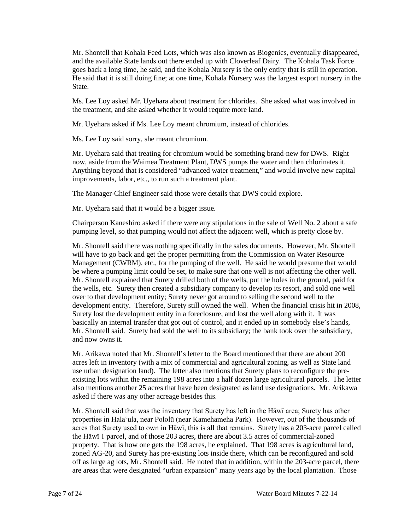Mr. Shontell that Kohala Feed Lots, which was also known as Biogenics, eventually disappeared, and the available State lands out there ended up with Cloverleaf Dairy. The Kohala Task Force goes back a long time, he said, and the Kohala Nursery is the only entity that is still in operation. He said that it is still doing fine; at one time, Kohala Nursery was the largest export nursery in the State.

Ms. Lee Loy asked Mr. Uyehara about treatment for chlorides. She asked what was involved in the treatment, and she asked whether it would require more land.

Mr. Uyehara asked if Ms. Lee Loy meant chromium, instead of chlorides.

Ms. Lee Loy said sorry, she meant chromium.

Mr. Uyehara said that treating for chromium would be something brand-new for DWS. Right now, aside from the Waimea Treatment Plant, DWS pumps the water and then chlorinates it. Anything beyond that is considered "advanced water treatment," and would involve new capital improvements, labor, etc., to run such a treatment plant.

The Manager-Chief Engineer said those were details that DWS could explore.

Mr. Uyehara said that it would be a bigger issue.

Chairperson Kaneshiro asked if there were any stipulations in the sale of Well No. 2 about a safe pumping level, so that pumping would not affect the adjacent well, which is pretty close by.

Mr. Shontell said there was nothing specifically in the sales documents. However, Mr. Shontell will have to go back and get the proper permitting from the Commission on Water Resource Management (CWRM), etc., for the pumping of the well. He said he would presume that would be where a pumping limit could be set, to make sure that one well is not affecting the other well. Mr. Shontell explained that Surety drilled both of the wells, put the holes in the ground, paid for the wells, etc. Surety then created a subsidiary company to develop its resort, and sold one well over to that development entity; Surety never got around to selling the second well to the development entity. Therefore, Surety still owned the well. When the financial crisis hit in 2008, Surety lost the development entity in a foreclosure, and lost the well along with it. It was basically an internal transfer that got out of control, and it ended up in somebody else's hands, Mr. Shontell said. Surety had sold the well to its subsidiary; the bank took over the subsidiary, and now owns it.

Mr. Arikawa noted that Mr. Shontell's letter to the Board mentioned that there are about 200 acres left in inventory (with a mix of commercial and agricultural zoning, as well as State land use urban designation land). The letter also mentions that Surety plans to reconfigure the preexisting lots within the remaining 198 acres into a half dozen large agricultural parcels. The letter also mentions another 25 acres that have been designated as land use designations. Mr. Arikawa asked if there was any other acreage besides this.

Mr. Shontell said that was the inventory that Surety has left in the Hāwī area; Surety has other properties in Hala'ula, near Pololū (near Kamehameha Park). However, out of the thousands of acres that Surety used to own in Hāwī, this is all that remains. Surety has a 203-acre parcel called the Hāwī 1 parcel, and of those 203 acres, there are about 3.5 acres of commercial-zoned property. That is how one gets the 198 acres, he explained. That 198 acres is agricultural land, zoned AG-20, and Surety has pre-existing lots inside there, which can be reconfigured and sold off as large ag lots, Mr. Shontell said. He noted that in addition, within the 203-acre parcel, there are areas that were designated "urban expansion" many years ago by the local plantation. Those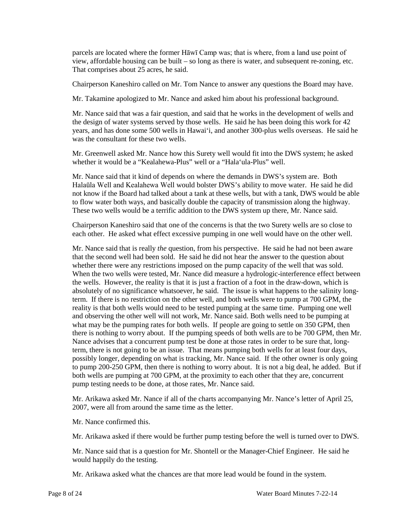parcels are located where the former Hāwī Camp was; that is where, from a land use point of view, affordable housing can be built – so long as there is water, and subsequent re-zoning, etc. That comprises about 25 acres, he said.

Chairperson Kaneshiro called on Mr. Tom Nance to answer any questions the Board may have.

Mr. Takamine apologized to Mr. Nance and asked him about his professional background.

Mr. Nance said that was a fair question, and said that he works in the development of wells and the design of water systems served by those wells. He said he has been doing this work for 42 years, and has done some 500 wells in Hawai'i, and another 300-plus wells overseas. He said he was the consultant for these two wells.

Mr. Greenwell asked Mr. Nance how this Surety well would fit into the DWS system; he asked whether it would be a "Kealahewa-Plus" well or a "Hala'ula-Plus" well.

Mr. Nance said that it kind of depends on where the demands in DWS's system are. Both Halaūla Well and Kealahewa Well would bolster DWS's ability to move water. He said he did not know if the Board had talked about a tank at these wells, but with a tank, DWS would be able to flow water both ways, and basically double the capacity of transmission along the highway. These two wells would be a terrific addition to the DWS system up there, Mr. Nance said.

Chairperson Kaneshiro said that one of the concerns is that the two Surety wells are so close to each other. He asked what effect excessive pumping in one well would have on the other well.

Mr. Nance said that is really *the* question, from his perspective. He said he had not been aware that the second well had been sold. He said he did not hear the answer to the question about whether there were any restrictions imposed on the pump capacity of the well that was sold. When the two wells were tested, Mr. Nance did measure a hydrologic-interference effect between the wells. However, the reality is that it is just a fraction of a foot in the draw-down, which is absolutely of no significance whatsoever, he said. The issue is what happens to the salinity longterm. If there is no restriction on the other well, and both wells were to pump at 700 GPM, the reality is that both wells would need to be tested pumping at the same time. Pumping one well and observing the other well will not work, Mr. Nance said. Both wells need to be pumping at what may be the pumping rates for both wells. If people are going to settle on 350 GPM, then there is nothing to worry about. If the pumping speeds of both wells are to be 700 GPM, then Mr. Nance advises that a concurrent pump test be done at those rates in order to be sure that, longterm, there is not going to be an issue. That means pumping both wells for at least four days, possibly longer, depending on what is tracking, Mr. Nance said. If the other owner is only going to pump 200-250 GPM, then there is nothing to worry about. It is not a big deal, he added. But if both wells are pumping at 700 GPM, at the proximity to each other that they are, concurrent pump testing needs to be done, at those rates, Mr. Nance said.

Mr. Arikawa asked Mr. Nance if all of the charts accompanying Mr. Nance's letter of April 25, 2007, were all from around the same time as the letter.

Mr. Nance confirmed this.

Mr. Arikawa asked if there would be further pump testing before the well is turned over to DWS.

Mr. Nance said that is a question for Mr. Shontell or the Manager-Chief Engineer. He said he would happily do the testing.

Mr. Arikawa asked what the chances are that more lead would be found in the system.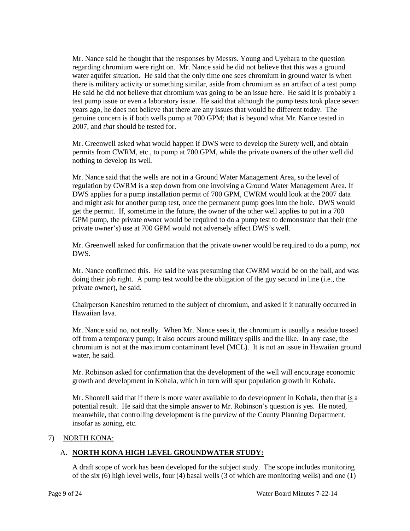Mr. Nance said he thought that the responses by Messrs. Young and Uyehara to the question regarding chromium were right on. Mr. Nance said he did not believe that this was a ground water aquifer situation. He said that the only time one sees chromium in ground water is when there is military activity or something similar, aside from chromium as an artifact of a test pump. He said he did not believe that chromium was going to be an issue here. He said it is probably a test pump issue or even a laboratory issue. He said that although the pump tests took place seven years ago, he does not believe that there are any issues that would be different today. The genuine concern is if both wells pump at 700 GPM; that is beyond what Mr. Nance tested in 2007, and *that* should be tested for.

Mr. Greenwell asked what would happen if DWS were to develop the Surety well, and obtain permits from CWRM, etc., to pump at 700 GPM, while the private owners of the other well did nothing to develop its well.

Mr. Nance said that the wells are not in a Ground Water Management Area, so the level of regulation by CWRM is a step down from one involving a Ground Water Management Area. If DWS applies for a pump installation permit of 700 GPM, CWRM would look at the 2007 data and might ask for another pump test, once the permanent pump goes into the hole. DWS would get the permit. If, sometime in the future, the owner of the other well applies to put in a 700 GPM pump, the private owner would be required to do a pump test to demonstrate that their (the private owner's) use at 700 GPM would not adversely affect DWS's well.

Mr. Greenwell asked for confirmation that the private owner would be required to do a pump, *not*  DWS.

Mr. Nance confirmed this. He said he was presuming that CWRM would be on the ball, and was doing their job right. A pump test would be the obligation of the guy second in line (i.e., the private owner), he said.

Chairperson Kaneshiro returned to the subject of chromium, and asked if it naturally occurred in Hawaiian lava.

Mr. Nance said no, not really. When Mr. Nance sees it, the chromium is usually a residue tossed off from a temporary pump; it also occurs around military spills and the like. In any case, the chromium is not at the maximum contaminant level (MCL). It is not an issue in Hawaiian ground water, he said.

Mr. Robinson asked for confirmation that the development of the well will encourage economic growth and development in Kohala, which in turn will spur population growth in Kohala.

Mr. Shontell said that if there is more water available to do development in Kohala, then that is a potential result. He said that the simple answer to Mr. Robinson's question is yes. He noted, meanwhile, that controlling development is the purview of the County Planning Department, insofar as zoning, etc.

### 7) NORTH KONA:

### A. **NORTH KONA HIGH LEVEL GROUNDWATER STUDY:**

A draft scope of work has been developed for the subject study. The scope includes monitoring of the six (6) high level wells, four (4) basal wells (3 of which are monitoring wells) and one (1)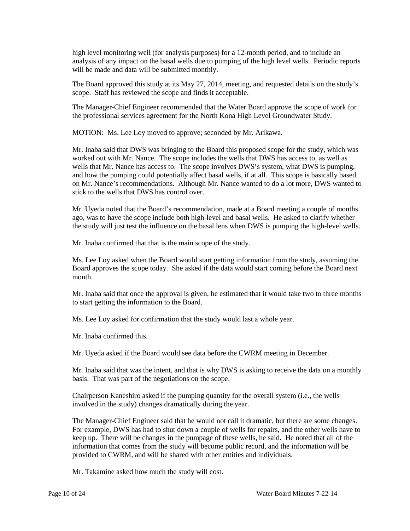high level monitoring well (for analysis purposes) for a 12-month period, and to include an analysis of any impact on the basal wells due to pumping of the high level wells. Periodic reports will be made and data will be submitted monthly.

The Board approved this study at its May 27, 2014, meeting, and requested details on the study's scope. Staff has reviewed the scope and finds it acceptable.

The Manager-Chief Engineer recommended that the Water Board approve the scope of work for the professional services agreement for the North Kona High Level Groundwater Study.

MOTION: Ms. Lee Loy moved to approve; seconded by Mr. Arikawa.

Mr. Inaba said that DWS was bringing to the Board this proposed scope for the study, which was worked out with Mr. Nance. The scope includes the wells that DWS has access to, as well as wells that Mr. Nance has access to. The scope involves DWS's system, what DWS is pumping, and how the pumping could potentially affect basal wells, if at all. This scope is basically based on Mr. Nance's recommendations. Although Mr. Nance wanted to do a lot more, DWS wanted to stick to the wells that DWS has control over.

Mr. Uyeda noted that the Board's recommendation, made at a Board meeting a couple of months ago, was to have the scope include both high-level and basal wells. He asked to clarify whether the study will just test the influence on the basal lens when DWS is pumping the high-level wells.

Mr. Inaba confirmed that that is the main scope of the study.

Ms. Lee Loy asked when the Board would start getting information from the study, assuming the Board approves the scope today. She asked if the data would start coming before the Board next month.

Mr. Inaba said that once the approval is given, he estimated that it would take two to three months to start getting the information to the Board.

Ms. Lee Loy asked for confirmation that the study would last a whole year.

Mr. Inaba confirmed this.

Mr. Uyeda asked if the Board would see data before the CWRM meeting in December.

Mr. Inaba said that was the intent, and that is why DWS is asking to receive the data on a monthly basis. That was part of the negotiations on the scope.

Chairperson Kaneshiro asked if the pumping quantity for the overall system (i.e., the wells involved in the study) changes dramatically during the year.

The Manager-Chief Engineer said that he would not call it dramatic, but there are some changes. For example, DWS has had to shut down a couple of wells for repairs, and the other wells have to keep up. There will be changes in the pumpage of these wells, he said. He noted that all of the information that comes from the study will become public record, and the information will be provided to CWRM, and will be shared with other entities and individuals.

Mr. Takamine asked how much the study will cost.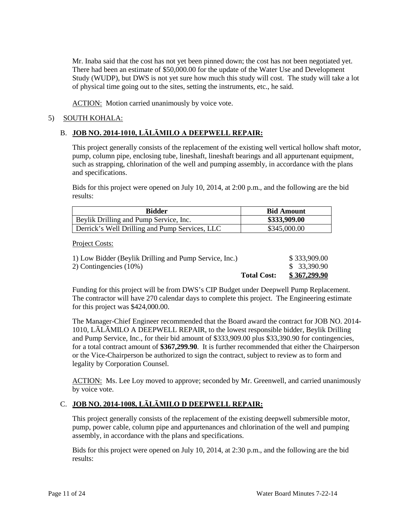Mr. Inaba said that the cost has not yet been pinned down; the cost has not been negotiated yet. There had been an estimate of \$50,000.00 for the update of the Water Use and Development Study (WUDP), but DWS is not yet sure how much this study will cost. The study will take a lot of physical time going out to the sites, setting the instruments, etc., he said.

ACTION: Motion carried unanimously by voice vote.

# 5) SOUTH KOHALA:

# B. **JOB NO. 2014-1010, LĀLĀMILO A DEEPWELL REPAIR:**

This project generally consists of the replacement of the existing well vertical hollow shaft motor, pump, column pipe, enclosing tube, lineshaft, lineshaft bearings and all appurtenant equipment, such as strapping, chlorination of the well and pumping assembly, in accordance with the plans and specifications.

Bids for this project were opened on July 10, 2014, at 2:00 p.m., and the following are the bid results:

| <b>Bidder</b>                                  | <b>Bid Amount</b> |
|------------------------------------------------|-------------------|
| Beylik Drilling and Pump Service, Inc.         | \$333,909.00      |
| Derrick's Well Drilling and Pump Services, LLC | \$345,000.00      |

Project Costs:

| 1) Low Bidder (Beylik Drilling and Pump Service, Inc.) | \$333,909.00 |
|--------------------------------------------------------|--------------|
| 2) Contingencies (10%)                                 | \$ 33,390.90 |
| <b>Total Cost:</b>                                     | \$367,299.90 |

Funding for this project will be from DWS's CIP Budget under Deepwell Pump Replacement. The contractor will have 270 calendar days to complete this project. The Engineering estimate for this project was \$424,000.00.

The Manager-Chief Engineer recommended that the Board award the contract for JOB NO. 2014- 1010, LĀLĀMILO A DEEPWELL REPAIR, to the lowest responsible bidder, Beylik Drilling and Pump Service, Inc., for their bid amount of \$333,909.00 plus \$33,390.90 for contingencies, for a total contract amount of **\$367,299.90**. It is further recommended that either the Chairperson or the Vice-Chairperson be authorized to sign the contract, subject to review as to form and legality by Corporation Counsel.

ACTION: Ms. Lee Loy moved to approve; seconded by Mr. Greenwell, and carried unanimously by voice vote.

# C. **JOB NO. 2014-1008, LĀLĀMILO D DEEPWELL REPAIR:**

This project generally consists of the replacement of the existing deepwell submersible motor, pump, power cable, column pipe and appurtenances and chlorination of the well and pumping assembly, in accordance with the plans and specifications.

Bids for this project were opened on July 10, 2014, at 2:30 p.m., and the following are the bid results: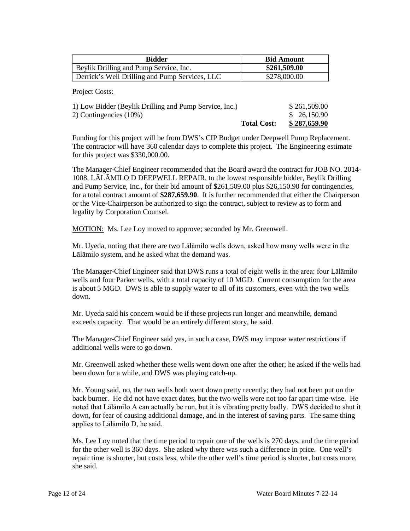| <b>Bidder</b>                                  | <b>Bid Amount</b> |
|------------------------------------------------|-------------------|
| Beylik Drilling and Pump Service, Inc.         | \$261,509.00      |
| Derrick's Well Drilling and Pump Services, LLC | \$278,000.00      |

Project Costs:

| 1) Low Bidder (Beylik Drilling and Pump Service, Inc.) | \$261,509.00                       |
|--------------------------------------------------------|------------------------------------|
| 2) Contingencies (10%)                                 | \$ 26,150.90                       |
|                                                        | \$287,659.90<br><b>Total Cost:</b> |

Funding for this project will be from DWS's CIP Budget under Deepwell Pump Replacement. The contractor will have 360 calendar days to complete this project. The Engineering estimate for this project was \$330,000.00.

The Manager-Chief Engineer recommended that the Board award the contract for JOB NO. 2014- 1008, LĀLĀMILO D DEEPWELL REPAIR, to the lowest responsible bidder, Beylik Drilling and Pump Service, Inc., for their bid amount of \$261,509.00 plus \$26,150.90 for contingencies, for a total contract amount of **\$287,659.90**. It is further recommended that either the Chairperson or the Vice-Chairperson be authorized to sign the contract, subject to review as to form and legality by Corporation Counsel.

MOTION: Ms. Lee Loy moved to approve; seconded by Mr. Greenwell.

Mr. Uyeda, noting that there are two Lālāmilo wells down, asked how many wells were in the Lālāmilo system, and he asked what the demand was.

The Manager-Chief Engineer said that DWS runs a total of eight wells in the area: four Lālāmilo wells and four Parker wells, with a total capacity of 10 MGD. Current consumption for the area is about 5 MGD. DWS is able to supply water to all of its customers, even with the two wells down.

Mr. Uyeda said his concern would be if these projects run longer and meanwhile, demand exceeds capacity. That would be an entirely different story, he said.

The Manager-Chief Engineer said yes, in such a case, DWS may impose water restrictions if additional wells were to go down.

Mr. Greenwell asked whether these wells went down one after the other; he asked if the wells had been down for a while, and DWS was playing catch-up.

Mr. Young said, no, the two wells both went down pretty recently; they had not been put on the back burner. He did not have exact dates, but the two wells were not too far apart time-wise. He noted that Lālāmilo A can actually be run, but it is vibrating pretty badly. DWS decided to shut it down, for fear of causing additional damage, and in the interest of saving parts. The same thing applies to Lālāmilo D, he said.

Ms. Lee Loy noted that the time period to repair one of the wells is 270 days, and the time period for the other well is 360 days. She asked why there was such a difference in price. One well's repair time is shorter, but costs less, while the other well's time period is shorter, but costs more, she said.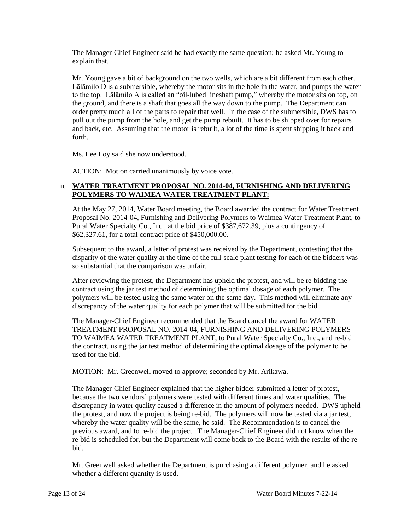The Manager-Chief Engineer said he had exactly the same question; he asked Mr. Young to explain that.

Mr. Young gave a bit of background on the two wells, which are a bit different from each other. Lālāmilo D is a submersible, whereby the motor sits in the hole in the water, and pumps the water to the top. Lālāmilo A is called an "oil-lubed lineshaft pump," whereby the motor sits on top, on the ground, and there is a shaft that goes all the way down to the pump. The Department can order pretty much all of the parts to repair that well. In the case of the submersible, DWS has to pull out the pump from the hole, and get the pump rebuilt. It has to be shipped over for repairs and back, etc. Assuming that the motor is rebuilt, a lot of the time is spent shipping it back and forth.

Ms. Lee Loy said she now understood.

ACTION: Motion carried unanimously by voice vote.

# D. **WATER TREATMENT PROPOSAL NO. 2014-04, FURNISHING AND DELIVERING POLYMERS TO WAIMEA WATER TREATMENT PLANT:**

At the May 27, 2014, Water Board meeting, the Board awarded the contract for Water Treatment Proposal No. 2014-04, Furnishing and Delivering Polymers to Waimea Water Treatment Plant, to Pural Water Specialty Co., Inc., at the bid price of \$387,672.39, plus a contingency of \$62,327.61, for a total contract price of \$450,000.00.

Subsequent to the award, a letter of protest was received by the Department, contesting that the disparity of the water quality at the time of the full-scale plant testing for each of the bidders was so substantial that the comparison was unfair.

After reviewing the protest, the Department has upheld the protest, and will be re-bidding the contract using the jar test method of determining the optimal dosage of each polymer. The polymers will be tested using the same water on the same day. This method will eliminate any discrepancy of the water quality for each polymer that will be submitted for the bid.

The Manager-Chief Engineer recommended that the Board cancel the award for WATER TREATMENT PROPOSAL NO. 2014-04, FURNISHING AND DELIVERING POLYMERS TO WAIMEA WATER TREATMENT PLANT, to Pural Water Specialty Co., Inc., and re-bid the contract, using the jar test method of determining the optimal dosage of the polymer to be used for the bid.

MOTION: Mr. Greenwell moved to approve; seconded by Mr. Arikawa.

The Manager-Chief Engineer explained that the higher bidder submitted a letter of protest, because the two vendors' polymers were tested with different times and water qualities. The discrepancy in water quality caused a difference in the amount of polymers needed. DWS upheld the protest, and now the project is being re-bid. The polymers will now be tested via a jar test, whereby the water quality will be the same, he said. The Recommendation is to cancel the previous award, and to re-bid the project. The Manager-Chief Engineer did not know when the re-bid is scheduled for, but the Department will come back to the Board with the results of the rebid.

Mr. Greenwell asked whether the Department is purchasing a different polymer, and he asked whether a different quantity is used.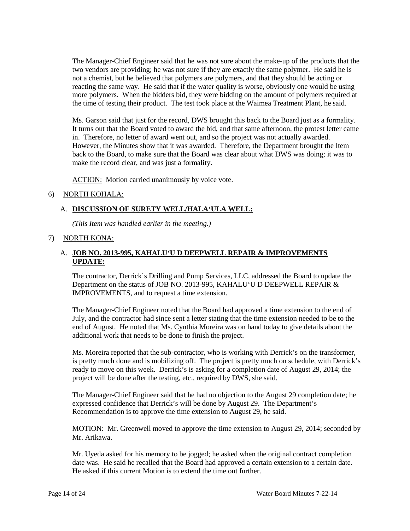The Manager-Chief Engineer said that he was not sure about the make-up of the products that the two vendors are providing; he was not sure if they are exactly the same polymer. He said he is not a chemist, but he believed that polymers are polymers, and that they should be acting or reacting the same way. He said that if the water quality is worse, obviously one would be using more polymers. When the bidders bid, they were bidding on the amount of polymers required at the time of testing their product. The test took place at the Waimea Treatment Plant, he said.

Ms. Garson said that just for the record, DWS brought this back to the Board just as a formality. It turns out that the Board voted to award the bid, and that same afternoon, the protest letter came in. Therefore, no letter of award went out, and so the project was not actually awarded. However, the Minutes show that it was awarded. Therefore, the Department brought the Item back to the Board, to make sure that the Board was clear about what DWS was doing; it was to make the record clear, and was just a formality.

ACTION: Motion carried unanimously by voice vote.

### 6) NORTH KOHALA:

### A. **DISCUSSION OF SURETY WELL/HALA'ULA WELL:**

*(This Item was handled earlier in the meeting.)*

## 7) NORTH KONA:

### A. **JOB NO. 2013-995, KAHALU'U D DEEPWELL REPAIR & IMPROVEMENTS UPDATE:**

The contractor, Derrick's Drilling and Pump Services, LLC, addressed the Board to update the Department on the status of JOB NO. 2013-995, KAHALU'U D DEEPWELL REPAIR & IMPROVEMENTS, and to request a time extension.

The Manager-Chief Engineer noted that the Board had approved a time extension to the end of July, and the contractor had since sent a letter stating that the time extension needed to be to the end of August. He noted that Ms. Cynthia Moreira was on hand today to give details about the additional work that needs to be done to finish the project.

Ms. Moreira reported that the sub-contractor, who is working with Derrick's on the transformer, is pretty much done and is mobilizing off. The project is pretty much on schedule, with Derrick's ready to move on this week. Derrick's is asking for a completion date of August 29, 2014; the project will be done after the testing, etc., required by DWS, she said.

The Manager-Chief Engineer said that he had no objection to the August 29 completion date; he expressed confidence that Derrick's will be done by August 29. The Department's Recommendation is to approve the time extension to August 29, he said.

MOTION: Mr. Greenwell moved to approve the time extension to August 29, 2014; seconded by Mr. Arikawa.

Mr. Uyeda asked for his memory to be jogged; he asked when the original contract completion date was. He said he recalled that the Board had approved a certain extension to a certain date. He asked if this current Motion is to extend the time out further.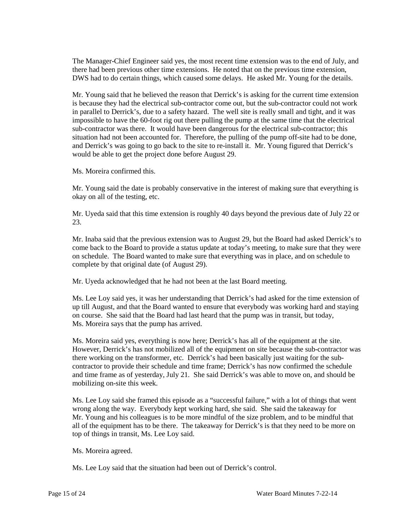The Manager-Chief Engineer said yes, the most recent time extension was to the end of July, and there had been previous other time extensions. He noted that on the previous time extension, DWS had to do certain things, which caused some delays. He asked Mr. Young for the details.

Mr. Young said that he believed the reason that Derrick's is asking for the current time extension is because they had the electrical sub-contractor come out, but the sub-contractor could not work in parallel to Derrick's, due to a safety hazard. The well site is really small and tight, and it was impossible to have the 60-foot rig out there pulling the pump at the same time that the electrical sub-contractor was there. It would have been dangerous for the electrical sub-contractor; this situation had not been accounted for. Therefore, the pulling of the pump off-site had to be done, and Derrick's was going to go back to the site to re-install it. Mr. Young figured that Derrick's would be able to get the project done before August 29.

Ms. Moreira confirmed this.

Mr. Young said the date is probably conservative in the interest of making sure that everything is okay on all of the testing, etc.

Mr. Uyeda said that this time extension is roughly 40 days beyond the previous date of July 22 or 23.

Mr. Inaba said that the previous extension was to August 29, but the Board had asked Derrick's to come back to the Board to provide a status update at today's meeting, to make sure that they were on schedule. The Board wanted to make sure that everything was in place, and on schedule to complete by that original date (of August 29).

Mr. Uyeda acknowledged that he had not been at the last Board meeting.

Ms. Lee Loy said yes, it was her understanding that Derrick's had asked for the time extension of up till August, and that the Board wanted to ensure that everybody was working hard and staying on course. She said that the Board had last heard that the pump was in transit, but today, Ms. Moreira says that the pump has arrived.

Ms. Moreira said yes, everything is now here; Derrick's has all of the equipment at the site. However, Derrick's has not mobilized all of the equipment on site because the sub-contractor was there working on the transformer, etc. Derrick's had been basically just waiting for the subcontractor to provide their schedule and time frame; Derrick's has now confirmed the schedule and time frame as of yesterday, July 21. She said Derrick's was able to move on, and should be mobilizing on-site this week.

Ms. Lee Loy said she framed this episode as a "successful failure," with a lot of things that went wrong along the way. Everybody kept working hard, she said. She said the takeaway for Mr. Young and his colleagues is to be more mindful of the size problem, and to be mindful that all of the equipment has to be there. The takeaway for Derrick's is that they need to be more on top of things in transit, Ms. Lee Loy said.

Ms. Moreira agreed.

Ms. Lee Loy said that the situation had been out of Derrick's control.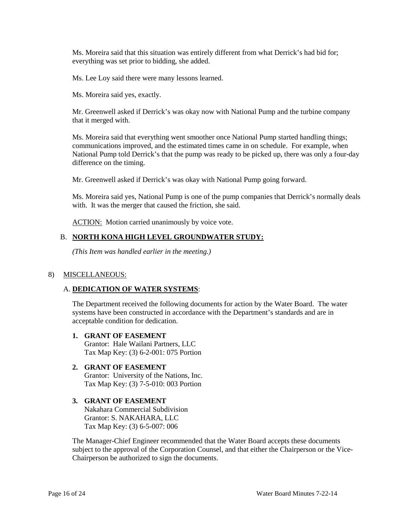Ms. Moreira said that this situation was entirely different from what Derrick's had bid for; everything was set prior to bidding, she added.

Ms. Lee Loy said there were many lessons learned.

Ms. Moreira said yes, exactly.

Mr. Greenwell asked if Derrick's was okay now with National Pump and the turbine company that it merged with.

Ms. Moreira said that everything went smoother once National Pump started handling things; communications improved, and the estimated times came in on schedule. For example, when National Pump told Derrick's that the pump was ready to be picked up, there was only a four-day difference on the timing.

Mr. Greenwell asked if Derrick's was okay with National Pump going forward.

Ms. Moreira said yes, National Pump is one of the pump companies that Derrick's normally deals with. It was the merger that caused the friction, she said.

ACTION: Motion carried unanimously by voice vote.

# B. **NORTH KONA HIGH LEVEL GROUNDWATER STUDY:**

*(This Item was handled earlier in the meeting.)*

### 8) MISCELLANEOUS:

### A. **DEDICATION OF WATER SYSTEMS**:

The Department received the following documents for action by the Water Board. The water systems have been constructed in accordance with the Department's standards and are in acceptable condition for dedication.

### **1. GRANT OF EASEMENT** Grantor: Hale Wailani Partners, LLC Tax Map Key: (3) 6-2-001: 075 Portion

#### **2. GRANT OF EASEMENT** Grantor: University of the Nations, Inc. Tax Map Key: (3) 7-5-010: 003 Portion

**3. GRANT OF EASEMENT** Nakahara Commercial Subdivision Grantor: S. NAKAHARA, LLC Tax Map Key: (3) 6-5-007: 006

The Manager-Chief Engineer recommended that the Water Board accepts these documents subject to the approval of the Corporation Counsel, and that either the Chairperson or the Vice-Chairperson be authorized to sign the documents.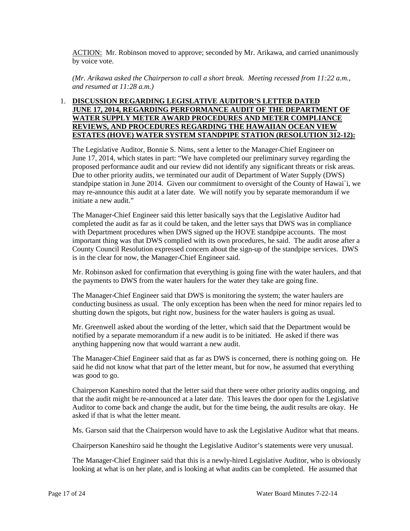ACTION: Mr. Robinson moved to approve; seconded by Mr. Arikawa, and carried unanimously by voice vote.

*(Mr. Arikawa asked the Chairperson to call a short break. Meeting recessed from 11:22 a.m., and resumed at 11:28 a.m.)*

# 1. **DISCUSSION REGARDING LEGISLATIVE AUDITOR'S LETTER DATED JUNE 17, 2014, REGARDING PERFORMANCE AUDIT OF THE DEPARTMENT OF WATER SUPPLY METER AWARD PROCEDURES AND METER COMPLIANCE REVIEWS, AND PROCEDURES REGARDING THE HAWAIIAN OCEAN VIEW ESTATES (HOVE) WATER SYSTEM STANDPIPE STATION (RESOLUTION 312-12):**

The Legislative Auditor, Bonnie S. Nims, sent a letter to the Manager-Chief Engineer on June 17, 2014, which states in part: "We have completed our preliminary survey regarding the proposed performance audit and our review did not identify any significant threats or risk areas. Due to other priority audits, we terminated our audit of Department of Water Supply (DWS) standpipe station in June 2014. Given our commitment to oversight of the County of Hawai`i, we may re-announce this audit at a later date. We will notify you by separate memorandum if we initiate a new audit."

The Manager-Chief Engineer said this letter basically says that the Legislative Auditor had completed the audit as far as it could be taken, and the letter says that DWS was in compliance with Department procedures when DWS signed up the HOVE standpipe accounts. The most important thing was that DWS complied with its own procedures, he said. The audit arose after a County Council Resolution expressed concern about the sign-up of the standpipe services. DWS is in the clear for now, the Manager-Chief Engineer said.

Mr. Robinson asked for confirmation that everything is going fine with the water haulers, and that the payments to DWS from the water haulers for the water they take are going fine.

The Manager-Chief Engineer said that DWS is monitoring the system; the water haulers are conducting business as usual. The only exception has been when the need for minor repairs led to shutting down the spigots, but right now, business for the water haulers is going as usual.

Mr. Greenwell asked about the wording of the letter, which said that the Department would be notified by a separate memorandum if a new audit is to be initiated. He asked if there was anything happening now that would warrant a new audit.

The Manager-Chief Engineer said that as far as DWS is concerned, there is nothing going on. He said he did not know what that part of the letter meant, but for now, he assumed that everything was good to go.

Chairperson Kaneshiro noted that the letter said that there were other priority audits ongoing, and that the audit might be re-announced at a later date. This leaves the door open for the Legislative Auditor to come back and change the audit, but for the time being, the audit results are okay. He asked if that is what the letter meant.

Ms. Garson said that the Chairperson would have to ask the Legislative Auditor what that means.

Chairperson Kaneshiro said he thought the Legislative Auditor's statements were very unusual.

The Manager-Chief Engineer said that this is a newly-hired Legislative Auditor, who is obviously looking at what is on her plate, and is looking at what audits can be completed. He assumed that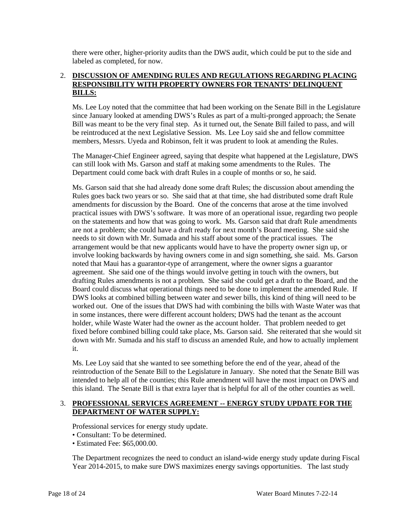there were other, higher-priority audits than the DWS audit, which could be put to the side and labeled as completed, for now.

# 2. **DISCUSSION OF AMENDING RULES AND REGULATIONS REGARDING PLACING RESPONSIBILITY WITH PROPERTY OWNERS FOR TENANTS' DELINQUENT BILLS:**

Ms. Lee Loy noted that the committee that had been working on the Senate Bill in the Legislature since January looked at amending DWS's Rules as part of a multi-pronged approach; the Senate Bill was meant to be the very final step. As it turned out, the Senate Bill failed to pass, and will be reintroduced at the next Legislative Session. Ms. Lee Loy said she and fellow committee members, Messrs. Uyeda and Robinson, felt it was prudent to look at amending the Rules.

The Manager-Chief Engineer agreed, saying that despite what happened at the Legislature, DWS can still look with Ms. Garson and staff at making some amendments to the Rules. The Department could come back with draft Rules in a couple of months or so, he said.

Ms. Garson said that she had already done some draft Rules; the discussion about amending the Rules goes back two years or so. She said that at that time, she had distributed some draft Rule amendments for discussion by the Board. One of the concerns that arose at the time involved practical issues with DWS's software. It was more of an operational issue, regarding two people on the statements and how that was going to work. Ms. Garson said that draft Rule amendments are not a problem; she could have a draft ready for next month's Board meeting. She said she needs to sit down with Mr. Sumada and his staff about some of the practical issues. The arrangement would be that new applicants would have to have the property owner sign up, or involve looking backwards by having owners come in and sign something, she said. Ms. Garson noted that Maui has a guarantor-type of arrangement, where the owner signs a guarantor agreement. She said one of the things would involve getting in touch with the owners, but drafting Rules amendments is not a problem. She said she could get a draft to the Board, and the Board could discuss what operational things need to be done to implement the amended Rule. If DWS looks at combined billing between water and sewer bills, this kind of thing will need to be worked out. One of the issues that DWS had with combining the bills with Waste Water was that in some instances, there were different account holders; DWS had the tenant as the account holder, while Waste Water had the owner as the account holder. That problem needed to get fixed before combined billing could take place, Ms. Garson said. She reiterated that she would sit down with Mr. Sumada and his staff to discuss an amended Rule, and how to actually implement it.

Ms. Lee Loy said that she wanted to see something before the end of the year, ahead of the reintroduction of the Senate Bill to the Legislature in January. She noted that the Senate Bill was intended to help all of the counties; this Rule amendment will have the most impact on DWS and this island. The Senate Bill is that extra layer that is helpful for all of the other counties as well.

# 3. **PROFESSIONAL SERVICES AGREEMENT -- ENERGY STUDY UPDATE FOR THE DEPARTMENT OF WATER SUPPLY:**

Professional services for energy study update.

- Consultant: To be determined.
- Estimated Fee: \$65,000.00.

The Department recognizes the need to conduct an island-wide energy study update during Fiscal Year 2014-2015, to make sure DWS maximizes energy savings opportunities. The last study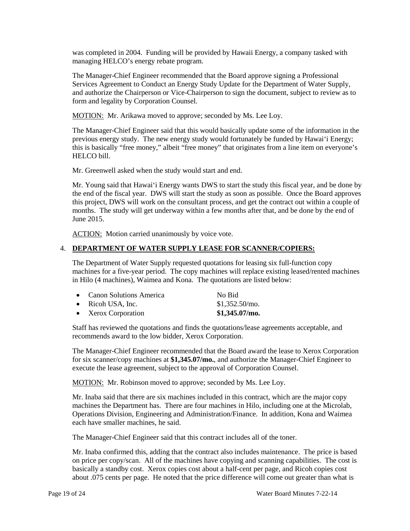was completed in 2004. Funding will be provided by Hawaii Energy, a company tasked with managing HELCO's energy rebate program.

The Manager-Chief Engineer recommended that the Board approve signing a Professional Services Agreement to Conduct an Energy Study Update for the Department of Water Supply, and authorize the Chairperson or Vice-Chairperson to sign the document, subject to review as to form and legality by Corporation Counsel.

MOTION: Mr. Arikawa moved to approve; seconded by Ms. Lee Loy.

The Manager-Chief Engineer said that this would basically update some of the information in the previous energy study. The new energy study would fortunately be funded by Hawai'i Energy; this is basically "free money," albeit "free money" that originates from a line item on everyone's HELCO bill.

Mr. Greenwell asked when the study would start and end.

Mr. Young said that Hawai'i Energy wants DWS to start the study this fiscal year, and be done by the end of the fiscal year. DWS will start the study as soon as possible. Once the Board approves this project, DWS will work on the consultant process, and get the contract out within a couple of months. The study will get underway within a few months after that, and be done by the end of June 2015.

ACTION: Motion carried unanimously by voice vote.

# 4. **DEPARTMENT OF WATER SUPPLY LEASE FOR SCANNER/COPIERS:**

The Department of Water Supply requested quotations for leasing six full-function copy machines for a five-year period. The copy machines will replace existing leased/rented machines in Hilo (4 machines), Waimea and Kona. The quotations are listed below:

| • Canon Solutions America | No Bid           |
|---------------------------|------------------|
| $\bullet$ Ricoh USA, Inc. | $$1,352.50$ /mo. |
| • Xerox Corporation       | $$1,345.07/m$ o. |

Staff has reviewed the quotations and finds the quotations/lease agreements acceptable, and recommends award to the low bidder, Xerox Corporation.

The Manager-Chief Engineer recommended that the Board award the lease to Xerox Corporation for six scanner/copy machines at **\$1,345.07/mo.**, and authorize the Manager-Chief Engineer to execute the lease agreement, subject to the approval of Corporation Counsel.

MOTION: Mr. Robinson moved to approve; seconded by Ms. Lee Loy.

Mr. Inaba said that there are six machines included in this contract, which are the major copy machines the Department has. There are four machines in Hilo, including one at the Microlab, Operations Division, Engineering and Administration/Finance. In addition, Kona and Waimea each have smaller machines, he said.

The Manager-Chief Engineer said that this contract includes all of the toner.

Mr. Inaba confirmed this, adding that the contract also includes maintenance. The price is based on price per copy/scan. All of the machines have copying and scanning capabilities. The cost is basically a standby cost. Xerox copies cost about a half-cent per page, and Ricoh copies cost about .075 cents per page. He noted that the price difference will come out greater than what is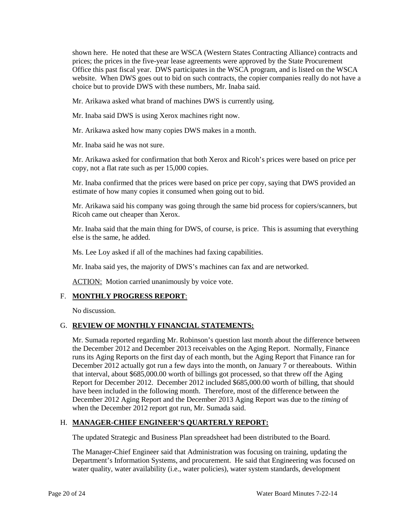shown here. He noted that these are WSCA (Western States Contracting Alliance) contracts and prices; the prices in the five-year lease agreements were approved by the State Procurement Office this past fiscal year. DWS participates in the WSCA program, and is listed on the WSCA website. When DWS goes out to bid on such contracts, the copier companies really do not have a choice but to provide DWS with these numbers, Mr. Inaba said.

Mr. Arikawa asked what brand of machines DWS is currently using.

Mr. Inaba said DWS is using Xerox machines right now.

Mr. Arikawa asked how many copies DWS makes in a month.

Mr. Inaba said he was not sure.

Mr. Arikawa asked for confirmation that both Xerox and Ricoh's prices were based on price per copy, not a flat rate such as per 15,000 copies.

Mr. Inaba confirmed that the prices were based on price per copy, saying that DWS provided an estimate of how many copies it consumed when going out to bid.

Mr. Arikawa said his company was going through the same bid process for copiers/scanners, but Ricoh came out cheaper than Xerox.

Mr. Inaba said that the main thing for DWS, of course, is price. This is assuming that everything else is the same, he added.

Ms. Lee Loy asked if all of the machines had faxing capabilities.

Mr. Inaba said yes, the majority of DWS's machines can fax and are networked.

ACTION: Motion carried unanimously by voice vote.

### F. **MONTHLY PROGRESS REPORT**:

No discussion.

### G. **REVIEW OF MONTHLY FINANCIAL STATEMENTS:**

Mr. Sumada reported regarding Mr. Robinson's question last month about the difference between the December 2012 and December 2013 receivables on the Aging Report. Normally, Finance runs its Aging Reports on the first day of each month, but the Aging Report that Finance ran for December 2012 actually got run a few days into the month, on January 7 or thereabouts. Within that interval, about \$685,000.00 worth of billings got processed, so that threw off the Aging Report for December 2012. December 2012 included \$685,000.00 worth of billing, that should have been included in the following month. Therefore, most of the difference between the December 2012 Aging Report and the December 2013 Aging Report was due to the *timing* of when the December 2012 report got run, Mr. Sumada said.

# H. **MANAGER-CHIEF ENGINEER'S QUARTERLY REPORT:**

The updated Strategic and Business Plan spreadsheet had been distributed to the Board.

The Manager-Chief Engineer said that Administration was focusing on training, updating the Department's Information Systems, and procurement. He said that Engineering was focused on water quality, water availability (i.e., water policies), water system standards, development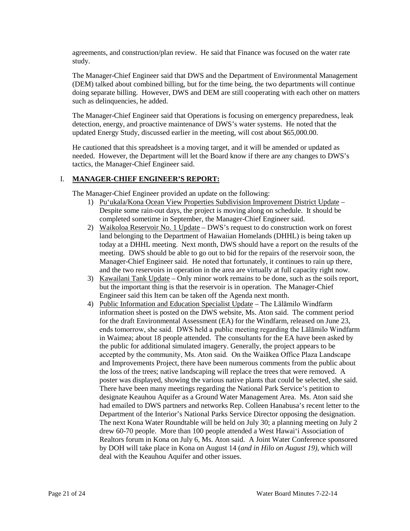agreements, and construction/plan review. He said that Finance was focused on the water rate study.

The Manager-Chief Engineer said that DWS and the Department of Environmental Management (DEM) talked about combined billing, but for the time being, the two departments will continue doing separate billing. However, DWS and DEM are still cooperating with each other on matters such as delinquencies, he added.

The Manager-Chief Engineer said that Operations is focusing on emergency preparedness, leak detection, energy, and proactive maintenance of DWS's water systems. He noted that the updated Energy Study, discussed earlier in the meeting, will cost about \$65,000.00.

He cautioned that this spreadsheet is a moving target, and it will be amended or updated as needed. However, the Department will let the Board know if there are any changes to DWS's tactics, the Manager-Chief Engineer said.

# I. **MANAGER-CHIEF ENGINEER'S REPORT:**

The Manager-Chief Engineer provided an update on the following:

- 1) Pu'ukala/Kona Ocean View Properties Subdivision Improvement District Update Despite some rain-out days, the project is moving along on schedule. It should be completed sometime in September, the Manager-Chief Engineer said.
- 2) Waikoloa Reservoir No. 1 Update DWS's request to do construction work on forest land belonging to the Department of Hawaiian Homelands (DHHL) is being taken up today at a DHHL meeting. Next month, DWS should have a report on the results of the meeting. DWS should be able to go out to bid for the repairs of the reservoir soon, the Manager-Chief Engineer said. He noted that fortunately, it continues to rain up there, and the two reservoirs in operation in the area are virtually at full capacity right now.
- 3) Kawailani Tank Update Only minor work remains to be done, such as the soils report, but the important thing is that the reservoir is in operation. The Manager-Chief Engineer said this Item can be taken off the Agenda next month.
- 4) Public Information and Education Specialist Update The Lalamilo Windfarm information sheet is posted on the DWS website, Ms. Aton said. The comment period for the draft Environmental Assessment (EA) for the Windfarm, released on June 23, ends tomorrow, she said. DWS held a public meeting regarding the Lālāmilo Windfarm in Waimea; about 18 people attended. The consultants for the EA have been asked by the public for additional simulated imagery. Generally, the project appears to be accepted by the community, Ms. Aton said. On the Waiākea Office Plaza Landscape and Improvements Project, there have been numerous comments from the public about the loss of the trees; native landscaping will replace the trees that were removed. A poster was displayed, showing the various native plants that could be selected, she said. There have been many meetings regarding the National Park Service's petition to designate Keauhou Aquifer as a Ground Water Management Area. Ms. Aton said she had emailed to DWS partners and networks Rep. Colleen Hanabusa's recent letter to the Department of the Interior's National Parks Service Director opposing the designation. The next Kona Water Roundtable will be held on July 30; a planning meeting on July 2 drew 60-70 people. More than 100 people attended a West Hawai'i Association of Realtors forum in Kona on July 6, Ms. Aton said. A Joint Water Conference sponsored by DOH will take place in Kona on August 14 (*and in Hilo on August 19)*, which will deal with the Keauhou Aquifer and other issues.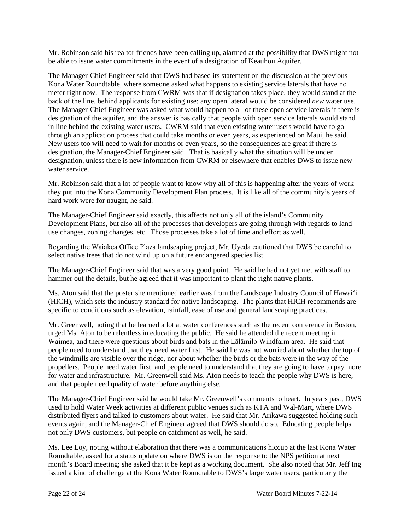Mr. Robinson said his realtor friends have been calling up, alarmed at the possibility that DWS might not be able to issue water commitments in the event of a designation of Keauhou Aquifer.

The Manager-Chief Engineer said that DWS had based its statement on the discussion at the previous Kona Water Roundtable, where someone asked what happens to existing service laterals that have no meter right now. The response from CWRM was that if designation takes place, they would stand at the back of the line, behind applicants for existing use; any open lateral would be considered *new* water use. The Manager-Chief Engineer was asked what would happen to all of these open service laterals if there is designation of the aquifer, and the answer is basically that people with open service laterals would stand in line behind the existing water users. CWRM said that even existing water users would have to go through an application process that could take months or even years, as experienced on Maui, he said. New users too will need to wait for months or even years, so the consequences are great if there is designation, the Manager-Chief Engineer said. That is basically what the situation will be under designation, unless there is new information from CWRM or elsewhere that enables DWS to issue new water service.

Mr. Robinson said that a lot of people want to know why all of this is happening after the years of work they put into the Kona Community Development Plan process. It is like all of the community's years of hard work were for naught, he said.

The Manager-Chief Engineer said exactly, this affects not only all of the island's Community Development Plans, but also all of the processes that developers are going through with regards to land use changes, zoning changes, etc. Those processes take a lot of time and effort as well.

Regarding the Waiākea Office Plaza landscaping project, Mr. Uyeda cautioned that DWS be careful to select native trees that do not wind up on a future endangered species list.

The Manager-Chief Engineer said that was a very good point. He said he had not yet met with staff to hammer out the details, but he agreed that it was important to plant the right native plants.

Ms. Aton said that the poster she mentioned earlier was from the Landscape Industry Council of Hawai'i (HICH), which sets the industry standard for native landscaping. The plants that HICH recommends are specific to conditions such as elevation, rainfall, ease of use and general landscaping practices.

Mr. Greenwell, noting that he learned a lot at water conferences such as the recent conference in Boston, urged Ms. Aton to be relentless in educating the public. He said he attended the recent meeting in Waimea, and there were questions about birds and bats in the Lālāmilo Windfarm area. He said that people need to understand that they need water first. He said he was not worried about whether the top of the windmills are visible over the ridge, nor about whether the birds or the bats were in the way of the propellers. People need water first, and people need to understand that they are going to have to pay more for water and infrastructure. Mr. Greenwell said Ms. Aton needs to teach the people why DWS is here, and that people need quality of water before anything else.

The Manager-Chief Engineer said he would take Mr. Greenwell's comments to heart. In years past, DWS used to hold Water Week activities at different public venues such as KTA and Wal-Mart, where DWS distributed flyers and talked to customers about water. He said that Mr. Arikawa suggested holding such events again, and the Manager-Chief Engineer agreed that DWS should do so. Educating people helps not only DWS customers, but people on catchment as well, he said.

Ms. Lee Loy, noting without elaboration that there was a communications hiccup at the last Kona Water Roundtable, asked for a status update on where DWS is on the response to the NPS petition at next month's Board meeting; she asked that it be kept as a working document. She also noted that Mr. Jeff Ing issued a kind of challenge at the Kona Water Roundtable to DWS's large water users, particularly the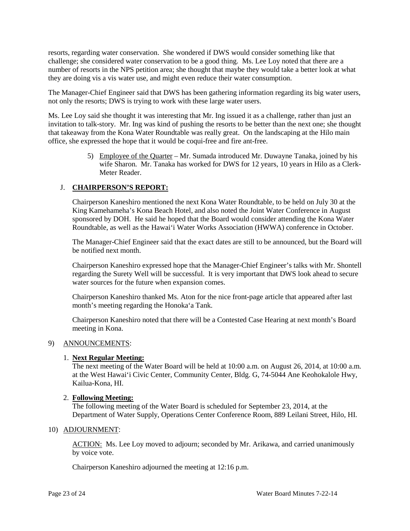resorts, regarding water conservation. She wondered if DWS would consider something like that challenge; she considered water conservation to be a good thing. Ms. Lee Loy noted that there are a number of resorts in the NPS petition area; she thought that maybe they would take a better look at what they are doing vis a vis water use, and might even reduce their water consumption.

The Manager-Chief Engineer said that DWS has been gathering information regarding its big water users, not only the resorts; DWS is trying to work with these large water users.

Ms. Lee Loy said she thought it was interesting that Mr. Ing issued it as a challenge, rather than just an invitation to talk-story. Mr. Ing was kind of pushing the resorts to be better than the next one; she thought that takeaway from the Kona Water Roundtable was really great. On the landscaping at the Hilo main office, she expressed the hope that it would be coqui-free and fire ant-free.

> 5) Employee of the Quarter – Mr. Sumada introduced Mr. Duwayne Tanaka, joined by his wife Sharon. Mr. Tanaka has worked for DWS for 12 years, 10 years in Hilo as a Clerk-Meter Reader.

# J. **CHAIRPERSON'S REPORT:**

Chairperson Kaneshiro mentioned the next Kona Water Roundtable, to be held on July 30 at the King Kamehameha's Kona Beach Hotel, and also noted the Joint Water Conference in August sponsored by DOH. He said he hoped that the Board would consider attending the Kona Water Roundtable, as well as the Hawai'i Water Works Association (HWWA) conference in October.

The Manager-Chief Engineer said that the exact dates are still to be announced, but the Board will be notified next month.

Chairperson Kaneshiro expressed hope that the Manager-Chief Engineer's talks with Mr. Shontell regarding the Surety Well will be successful. It is very important that DWS look ahead to secure water sources for the future when expansion comes.

Chairperson Kaneshiro thanked Ms. Aton for the nice front-page article that appeared after last month's meeting regarding the Honoka'a Tank.

Chairperson Kaneshiro noted that there will be a Contested Case Hearing at next month's Board meeting in Kona.

### 9) ANNOUNCEMENTS:

### 1. **Next Regular Meeting:**

The next meeting of the Water Board will be held at 10:00 a.m. on August 26, 2014, at 10:00 a.m. at the West Hawai'i Civic Center, Community Center, Bldg. G, 74-5044 Ane Keohokalole Hwy, Kailua-Kona, HI.

### 2. **Following Meeting:**

The following meeting of the Water Board is scheduled for September 23, 2014, at the Department of Water Supply, Operations Center Conference Room, 889 Leilani Street, Hilo, HI.

# 10) ADJOURNMENT:

ACTION: Ms. Lee Loy moved to adjourn; seconded by Mr. Arikawa, and carried unanimously by voice vote.

Chairperson Kaneshiro adjourned the meeting at 12:16 p.m.